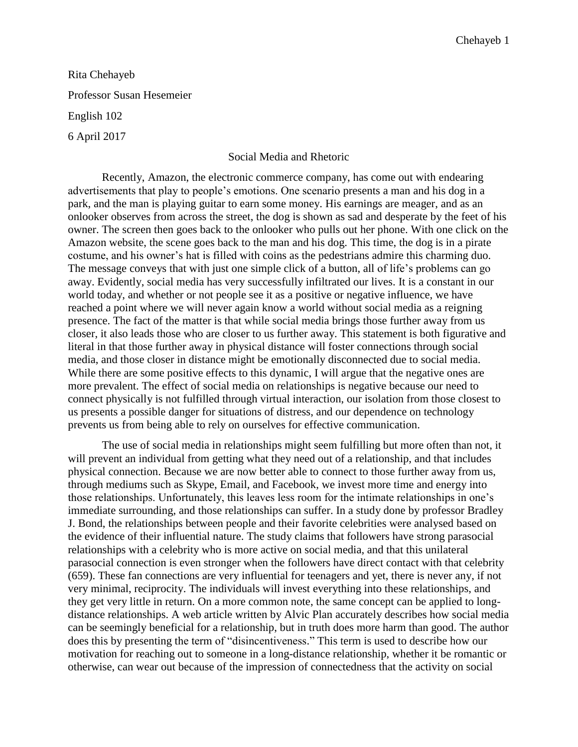Rita Chehayeb Professor Susan Hesemeier English 102 6 April 2017

## Social Media and Rhetoric

Recently, Amazon, the electronic commerce company, has come out with endearing advertisements that play to people's emotions. One scenario presents a man and his dog in a park, and the man is playing guitar to earn some money. His earnings are meager, and as an onlooker observes from across the street, the dog is shown as sad and desperate by the feet of his owner. The screen then goes back to the onlooker who pulls out her phone. With one click on the Amazon website, the scene goes back to the man and his dog. This time, the dog is in a pirate costume, and his owner's hat is filled with coins as the pedestrians admire this charming duo. The message conveys that with just one simple click of a button, all of life's problems can go away. Evidently, social media has very successfully infiltrated our lives. It is a constant in our world today, and whether or not people see it as a positive or negative influence, we have reached a point where we will never again know a world without social media as a reigning presence. The fact of the matter is that while social media brings those further away from us closer, it also leads those who are closer to us further away. This statement is both figurative and literal in that those further away in physical distance will foster connections through social media, and those closer in distance might be emotionally disconnected due to social media. While there are some positive effects to this dynamic, I will argue that the negative ones are more prevalent. The effect of social media on relationships is negative because our need to connect physically is not fulfilled through virtual interaction, our isolation from those closest to us presents a possible danger for situations of distress, and our dependence on technology prevents us from being able to rely on ourselves for effective communication.

The use of social media in relationships might seem fulfilling but more often than not, it will prevent an individual from getting what they need out of a relationship, and that includes physical connection. Because we are now better able to connect to those further away from us, through mediums such as Skype, Email, and Facebook, we invest more time and energy into those relationships. Unfortunately, this leaves less room for the intimate relationships in one's immediate surrounding, and those relationships can suffer. In a study done by professor Bradley J. Bond, the relationships between people and their favorite celebrities were analysed based on the evidence of their influential nature. The study claims that followers have strong parasocial relationships with a celebrity who is more active on social media, and that this unilateral parasocial connection is even stronger when the followers have direct contact with that celebrity (659). These fan connections are very influential for teenagers and yet, there is never any, if not very minimal, reciprocity. The individuals will invest everything into these relationships, and they get very little in return. On a more common note, the same concept can be applied to longdistance relationships. A web article written by Alvic Plan accurately describes how social media can be seemingly beneficial for a relationship, but in truth does more harm than good. The author does this by presenting the term of "disincentiveness." This term is used to describe how our motivation for reaching out to someone in a long-distance relationship, whether it be romantic or otherwise, can wear out because of the impression of connectedness that the activity on social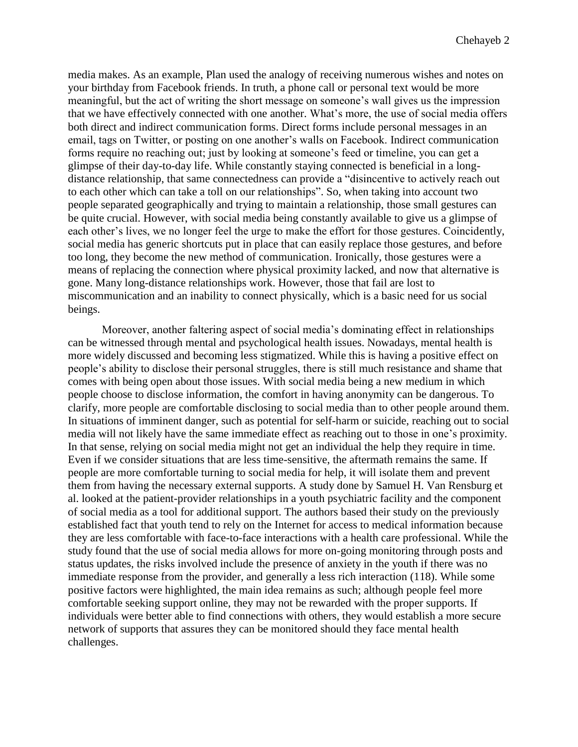media makes. As an example, Plan used the analogy of receiving numerous wishes and notes on your birthday from Facebook friends. In truth, a phone call or personal text would be more meaningful, but the act of writing the short message on someone's wall gives us the impression that we have effectively connected with one another. What's more, the use of social media offers both direct and indirect communication forms. Direct forms include personal messages in an email, tags on Twitter, or posting on one another's walls on Facebook. Indirect communication forms require no reaching out; just by looking at someone's feed or timeline, you can get a glimpse of their day-to-day life. While constantly staying connected is beneficial in a longdistance relationship, that same connectedness can provide a "disincentive to actively reach out to each other which can take a toll on our relationships". So, when taking into account two people separated geographically and trying to maintain a relationship, those small gestures can be quite crucial. However, with social media being constantly available to give us a glimpse of each other's lives, we no longer feel the urge to make the effort for those gestures. Coincidently, social media has generic shortcuts put in place that can easily replace those gestures, and before too long, they become the new method of communication. Ironically, those gestures were a means of replacing the connection where physical proximity lacked, and now that alternative is gone. Many long-distance relationships work. However, those that fail are lost to miscommunication and an inability to connect physically, which is a basic need for us social beings.

Moreover, another faltering aspect of social media's dominating effect in relationships can be witnessed through mental and psychological health issues. Nowadays, mental health is more widely discussed and becoming less stigmatized. While this is having a positive effect on people's ability to disclose their personal struggles, there is still much resistance and shame that comes with being open about those issues. With social media being a new medium in which people choose to disclose information, the comfort in having anonymity can be dangerous. To clarify, more people are comfortable disclosing to social media than to other people around them. In situations of imminent danger, such as potential for self-harm or suicide, reaching out to social media will not likely have the same immediate effect as reaching out to those in one's proximity. In that sense, relying on social media might not get an individual the help they require in time. Even if we consider situations that are less time-sensitive, the aftermath remains the same. If people are more comfortable turning to social media for help, it will isolate them and prevent them from having the necessary external supports. A study done by Samuel H. Van Rensburg et al. looked at the patient-provider relationships in a youth psychiatric facility and the component of social media as a tool for additional support. The authors based their study on the previously established fact that youth tend to rely on the Internet for access to medical information because they are less comfortable with face-to-face interactions with a health care professional. While the study found that the use of social media allows for more on-going monitoring through posts and status updates, the risks involved include the presence of anxiety in the youth if there was no immediate response from the provider, and generally a less rich interaction (118). While some positive factors were highlighted, the main idea remains as such; although people feel more comfortable seeking support online, they may not be rewarded with the proper supports. If individuals were better able to find connections with others, they would establish a more secure network of supports that assures they can be monitored should they face mental health challenges.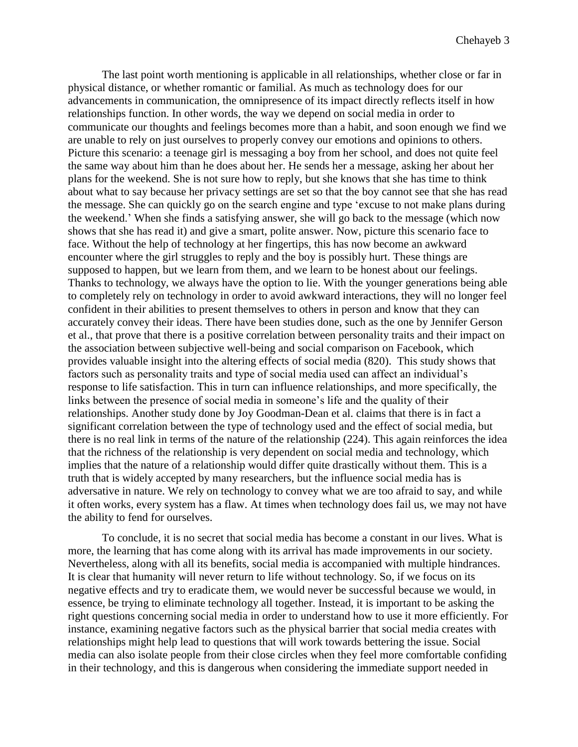The last point worth mentioning is applicable in all relationships, whether close or far in physical distance, or whether romantic or familial. As much as technology does for our advancements in communication, the omnipresence of its impact directly reflects itself in how relationships function. In other words, the way we depend on social media in order to communicate our thoughts and feelings becomes more than a habit, and soon enough we find we are unable to rely on just ourselves to properly convey our emotions and opinions to others. Picture this scenario: a teenage girl is messaging a boy from her school, and does not quite feel the same way about him than he does about her. He sends her a message, asking her about her plans for the weekend. She is not sure how to reply, but she knows that she has time to think about what to say because her privacy settings are set so that the boy cannot see that she has read the message. She can quickly go on the search engine and type 'excuse to not make plans during the weekend.' When she finds a satisfying answer, she will go back to the message (which now shows that she has read it) and give a smart, polite answer. Now, picture this scenario face to face. Without the help of technology at her fingertips, this has now become an awkward encounter where the girl struggles to reply and the boy is possibly hurt. These things are supposed to happen, but we learn from them, and we learn to be honest about our feelings. Thanks to technology, we always have the option to lie. With the younger generations being able to completely rely on technology in order to avoid awkward interactions, they will no longer feel confident in their abilities to present themselves to others in person and know that they can accurately convey their ideas. There have been studies done, such as the one by Jennifer Gerson et al., that prove that there is a positive correlation between personality traits and their impact on the association between subjective well-being and social comparison on Facebook, which provides valuable insight into the altering effects of social media (820). This study shows that factors such as personality traits and type of social media used can affect an individual's response to life satisfaction. This in turn can influence relationships, and more specifically, the links between the presence of social media in someone's life and the quality of their relationships. Another study done by Joy Goodman-Dean et al. claims that there is in fact a significant correlation between the type of technology used and the effect of social media, but there is no real link in terms of the nature of the relationship (224). This again reinforces the idea that the richness of the relationship is very dependent on social media and technology, which implies that the nature of a relationship would differ quite drastically without them. This is a truth that is widely accepted by many researchers, but the influence social media has is adversative in nature. We rely on technology to convey what we are too afraid to say, and while it often works, every system has a flaw. At times when technology does fail us, we may not have the ability to fend for ourselves.

To conclude, it is no secret that social media has become a constant in our lives. What is more, the learning that has come along with its arrival has made improvements in our society. Nevertheless, along with all its benefits, social media is accompanied with multiple hindrances. It is clear that humanity will never return to life without technology. So, if we focus on its negative effects and try to eradicate them, we would never be successful because we would, in essence, be trying to eliminate technology all together. Instead, it is important to be asking the right questions concerning social media in order to understand how to use it more efficiently. For instance, examining negative factors such as the physical barrier that social media creates with relationships might help lead to questions that will work towards bettering the issue. Social media can also isolate people from their close circles when they feel more comfortable confiding in their technology, and this is dangerous when considering the immediate support needed in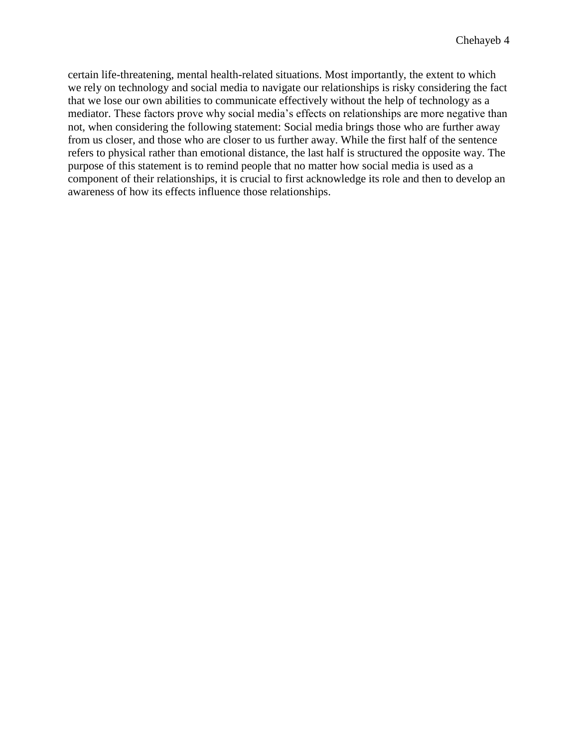certain life-threatening, mental health-related situations. Most importantly, the extent to which we rely on technology and social media to navigate our relationships is risky considering the fact that we lose our own abilities to communicate effectively without the help of technology as a mediator. These factors prove why social media's effects on relationships are more negative than not, when considering the following statement: Social media brings those who are further away from us closer, and those who are closer to us further away. While the first half of the sentence refers to physical rather than emotional distance, the last half is structured the opposite way. The purpose of this statement is to remind people that no matter how social media is used as a component of their relationships, it is crucial to first acknowledge its role and then to develop an awareness of how its effects influence those relationships.